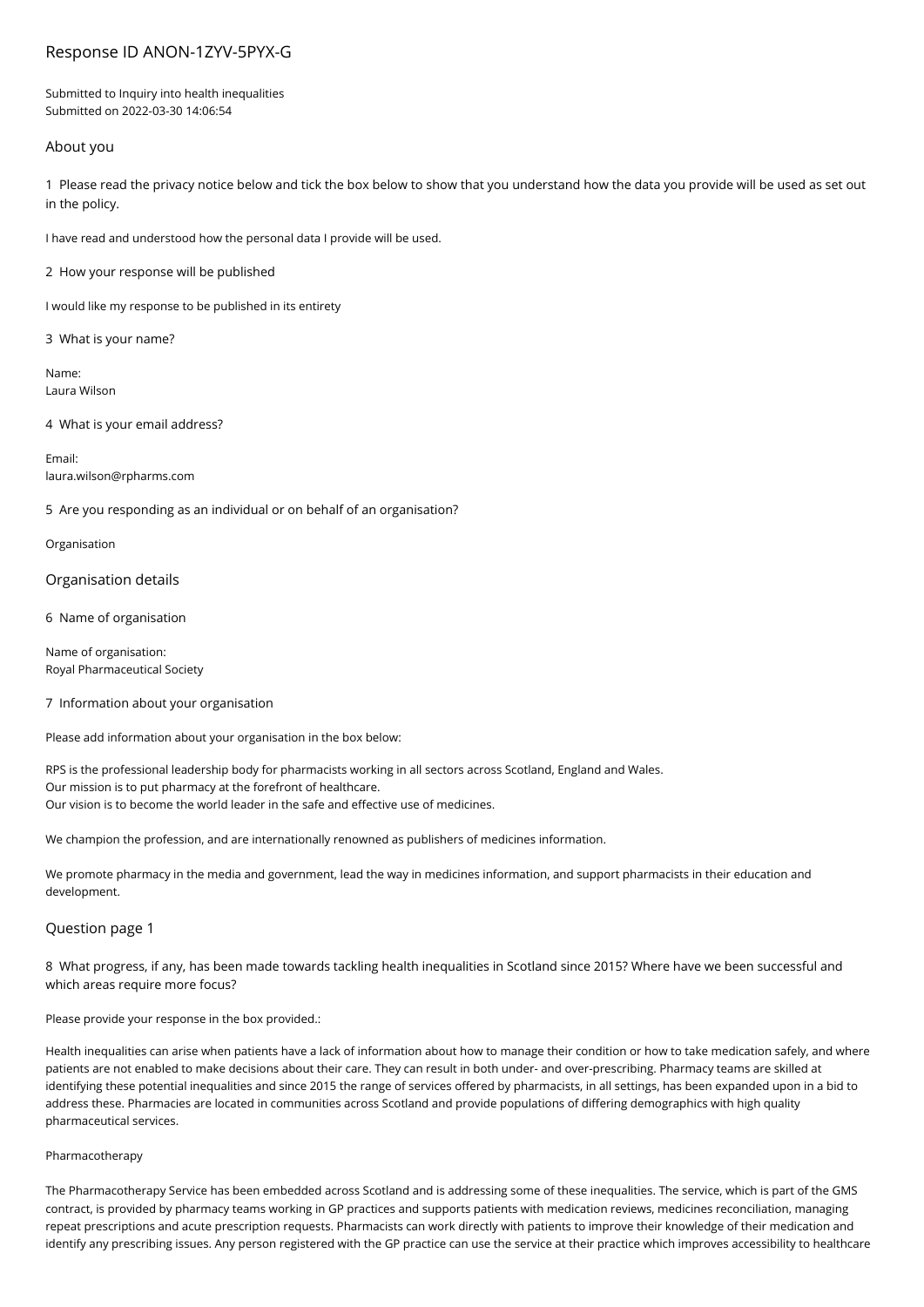# Response ID ANON-1ZYV-5PYX-G

Submitted to Inquiry into health inequalities Submitted on 2022-03-30 14:06:54

# About you

1 Please read the privacy notice below and tick the box below to show that you understand how the data you provide will be used as set out in the policy.

I have read and understood how the personal data I provide will be used.

2 How your response will be published

I would like my response to be published in its entirety

3 What is your name?

Name: Laura Wilson

4 What is your email address?

Email: laura.wilson@rpharms.com

5 Are you responding as an individual or on behalf of an organisation?

Organisation

Organisation details

6 Name of organisation

Name of organisation: Royal Pharmaceutical Society

# 7 Information about your organisation

Please add information about your organisation in the box below:

RPS is the professional leadership body for pharmacists working in all sectors across Scotland, England and Wales. Our mission is to put pharmacy at the forefront of healthcare. Our vision is to become the world leader in the safe and effective use of medicines.

We champion the profession, and are internationally renowned as publishers of medicines information.

We promote pharmacy in the media and government, lead the way in medicines information, and support pharmacists in their education and development.

# Question page 1

8 What progress, if any, has been made towards tackling health inequalities in Scotland since 2015? Where have we been successful and which areas require more focus?

Please provide your response in the box provided.:

Health inequalities can arise when patients have a lack of information about how to manage their condition or how to take medication safely, and where patients are not enabled to make decisions about their care. They can result in both under- and over-prescribing. Pharmacy teams are skilled at identifying these potential inequalities and since 2015 the range of services offered by pharmacists, in all settings, has been expanded upon in a bid to address these. Pharmacies are located in communities across Scotland and provide populations of differing demographics with high quality pharmaceutical services.

### Pharmacotherapy

The Pharmacotherapy Service has been embedded across Scotland and is addressing some of these inequalities. The service, which is part of the GMS contract, is provided by pharmacy teams working in GP practices and supports patients with medication reviews, medicines reconciliation, managing repeat prescriptions and acute prescription requests. Pharmacists can work directly with patients to improve their knowledge of their medication and identify any prescribing issues. Any person registered with the GP practice can use the service at their practice which improves accessibility to healthcare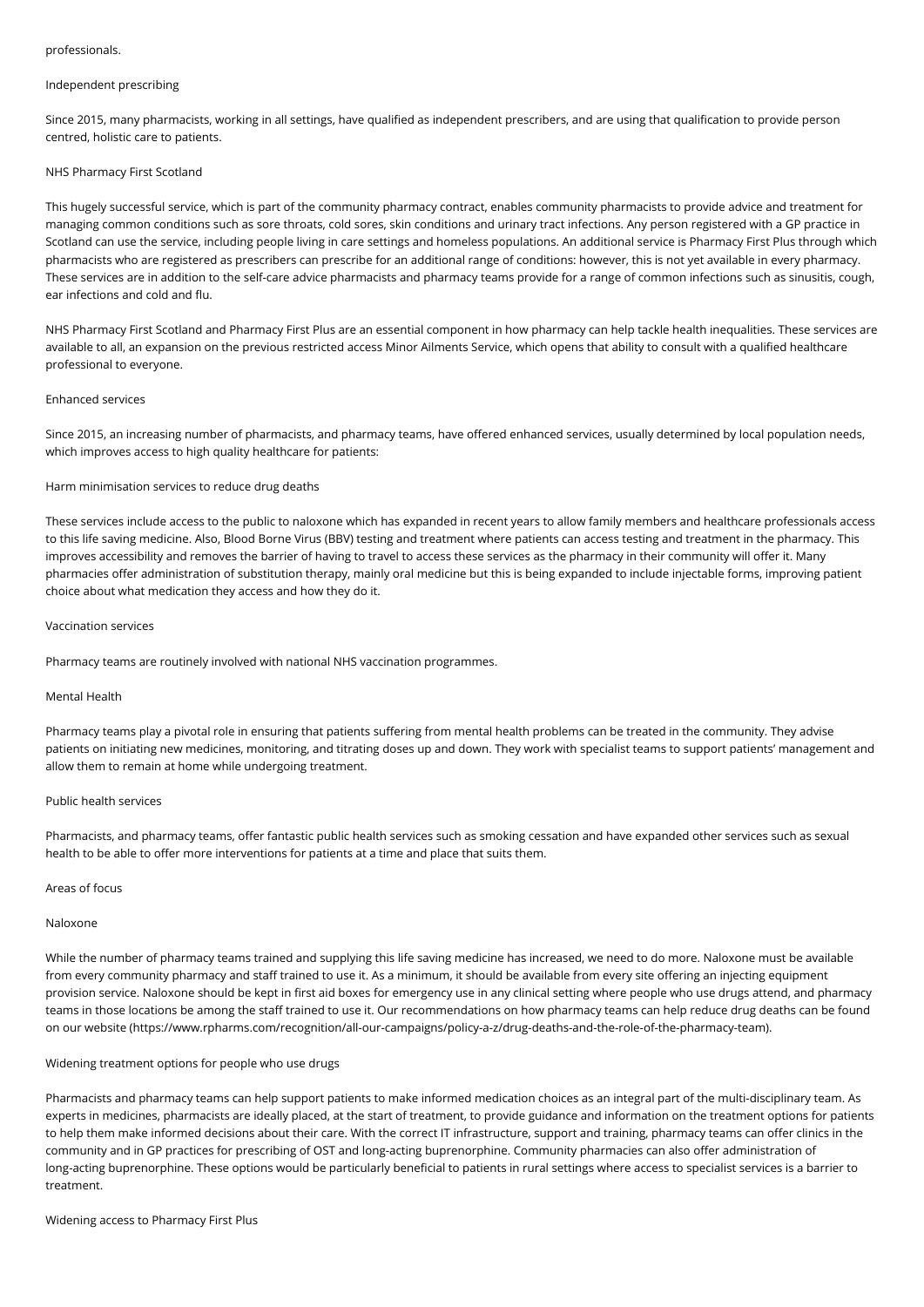#### professionals.

#### Independent prescribing

Since 2015, many pharmacists, working in all settings, have qualified as independent prescribers, and are using that qualification to provide person centred, holistic care to patients.

### NHS Pharmacy First Scotland

This hugely successful service, which is part of the community pharmacy contract, enables community pharmacists to provide advice and treatment for managing common conditions such as sore throats, cold sores, skin conditions and urinary tract infections. Any person registered with a GP practice in Scotland can use the service, including people living in care settings and homeless populations. An additional service is Pharmacy First Plus through which pharmacists who are registered as prescribers can prescribe for an additional range of conditions: however, this is not yet available in every pharmacy. These services are in addition to the self-care advice pharmacists and pharmacy teams provide for a range of common infections such as sinusitis, cough, ear infections and cold and flu.

NHS Pharmacy First Scotland and Pharmacy First Plus are an essential component in how pharmacy can help tackle health inequalities. These services are available to all, an expansion on the previous restricted access Minor Ailments Service, which opens that ability to consult with a qualified healthcare professional to everyone.

#### Enhanced services

Since 2015, an increasing number of pharmacists, and pharmacy teams, have offered enhanced services, usually determined by local population needs, which improves access to high quality healthcare for patients:

### Harm minimisation services to reduce drug deaths

These services include access to the public to naloxone which has expanded in recent years to allow family members and healthcare professionals access to this life saving medicine. Also, Blood Borne Virus (BBV) testing and treatment where patients can access testing and treatment in the pharmacy. This improves accessibility and removes the barrier of having to travel to access these services as the pharmacy in their community will offer it. Many pharmacies offer administration of substitution therapy, mainly oral medicine but this is being expanded to include injectable forms, improving patient choice about what medication they access and how they do it.

### Vaccination services

Pharmacy teams are routinely involved with national NHS vaccination programmes.

#### Mental Health

Pharmacy teams play a pivotal role in ensuring that patients suffering from mental health problems can be treated in the community. They advise patients on initiating new medicines, monitoring, and titrating doses up and down. They work with specialist teams to support patients' management and allow them to remain at home while undergoing treatment.

### Public health services

Pharmacists, and pharmacy teams, offer fantastic public health services such as smoking cessation and have expanded other services such as sexual health to be able to offer more interventions for patients at a time and place that suits them.

#### Areas of focus

### Naloxone

While the number of pharmacy teams trained and supplying this life saving medicine has increased, we need to do more. Naloxone must be available from every community pharmacy and staff trained to use it. As a minimum, it should be available from every site offering an injecting equipment provision service. Naloxone should be kept in first aid boxes for emergency use in any clinical setting where people who use drugs attend, and pharmacy teams in those locations be among the staff trained to use it. Our recommendations on how pharmacy teams can help reduce drug deaths can be found on our website (https://www.rpharms.com/recognition/all-our-campaigns/policy-a-z/drug-deaths-and-the-role-of-the-pharmacy-team).

#### Widening treatment options for people who use drugs

Pharmacists and pharmacy teams can help support patients to make informed medication choices as an integral part of the multi-disciplinary team. As experts in medicines, pharmacists are ideally placed, at the start of treatment, to provide guidance and information on the treatment options for patients to help them make informed decisions about their care. With the correct IT infrastructure, support and training, pharmacy teams can offer clinics in the community and in GP practices for prescribing of OST and long-acting buprenorphine. Community pharmacies can also offer administration of long-acting buprenorphine. These options would be particularly beneficial to patients in rural settings where access to specialist services is a barrier to treatment.

### Widening access to Pharmacy First Plus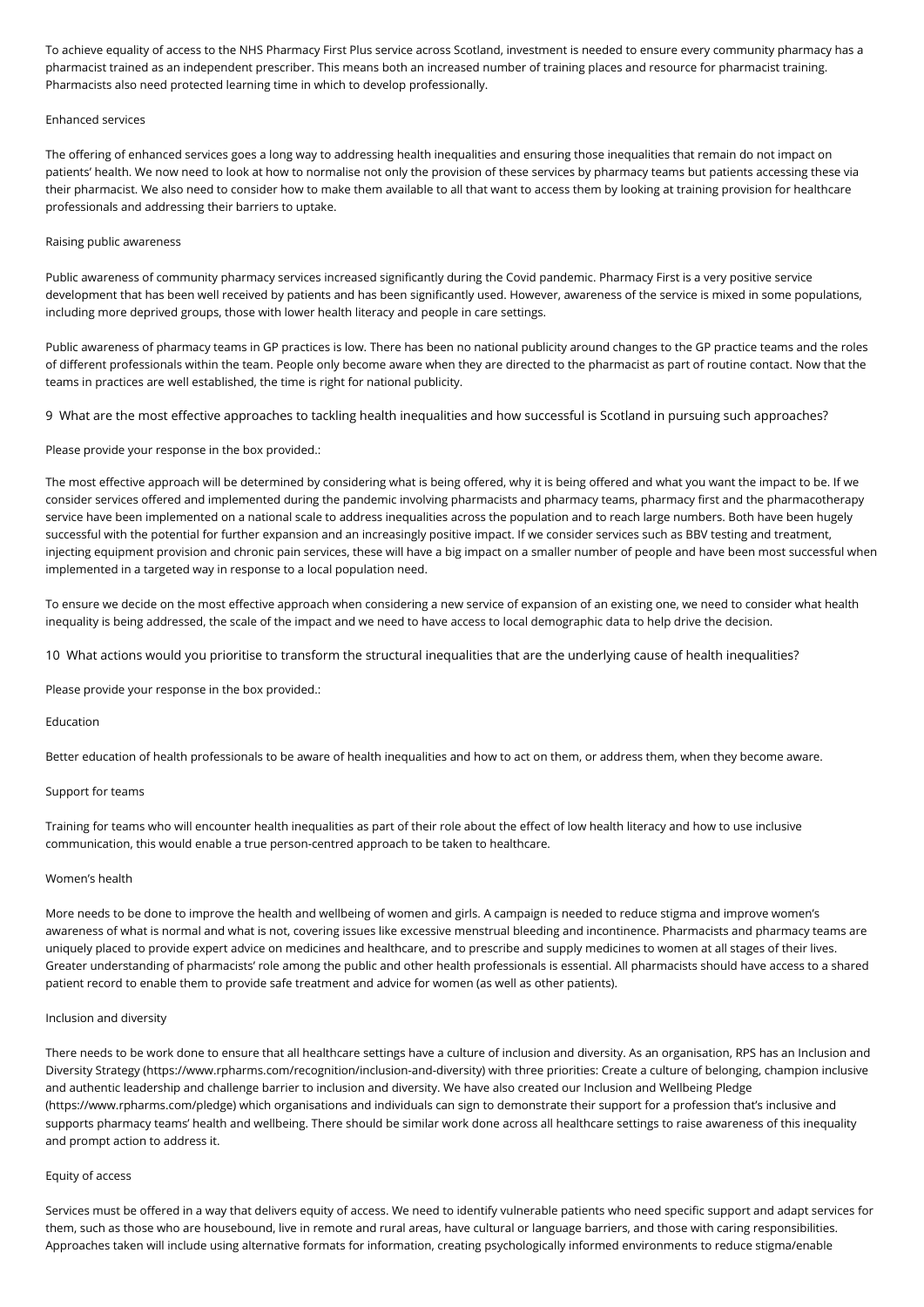To achieve equality of access to the NHS Pharmacy First Plus service across Scotland, investment is needed to ensure every community pharmacy has a pharmacist trained as an independent prescriber. This means both an increased number of training places and resource for pharmacist training. Pharmacists also need protected learning time in which to develop professionally.

#### Enhanced services

The offering of enhanced services goes a long way to addressing health inequalities and ensuring those inequalities that remain do not impact on patients' health. We now need to look at how to normalise not only the provision of these services by pharmacy teams but patients accessing these via their pharmacist. We also need to consider how to make them available to all that want to access them by looking at training provision for healthcare professionals and addressing their barriers to uptake.

### Raising public awareness

Public awareness of community pharmacy services increased significantly during the Covid pandemic. Pharmacy First is a very positive service development that has been well received by patients and has been significantly used. However, awareness of the service is mixed in some populations, including more deprived groups, those with lower health literacy and people in care settings.

Public awareness of pharmacy teams in GP practices is low. There has been no national publicity around changes to the GP practice teams and the roles of different professionals within the team. People only become aware when they are directed to the pharmacist as part of routine contact. Now that the teams in practices are well established, the time is right for national publicity.

9 What are the most effective approaches to tackling health inequalities and how successful is Scotland in pursuing such approaches?

### Please provide your response in the box provided.:

The most effective approach will be determined by considering what is being offered, why it is being offered and what you want the impact to be. If we consider services offered and implemented during the pandemic involving pharmacists and pharmacy teams, pharmacy first and the pharmacotherapy service have been implemented on a national scale to address inequalities across the population and to reach large numbers. Both have been hugely successful with the potential for further expansion and an increasingly positive impact. If we consider services such as BBV testing and treatment, injecting equipment provision and chronic pain services, these will have a big impact on a smaller number of people and have been most successful when implemented in a targeted way in response to a local population need.

To ensure we decide on the most effective approach when considering a new service of expansion of an existing one, we need to consider what health inequality is being addressed, the scale of the impact and we need to have access to local demographic data to help drive the decision.

10 What actions would you prioritise to transform the structural inequalities that are the underlying cause of health inequalities?

Please provide your response in the box provided.:

### Education

Better education of health professionals to be aware of health inequalities and how to act on them, or address them, when they become aware.

### Support for teams

Training for teams who will encounter health inequalities as part of their role about the effect of low health literacy and how to use inclusive communication, this would enable a true person-centred approach to be taken to healthcare.

#### Women's health

More needs to be done to improve the health and wellbeing of women and girls. A campaign is needed to reduce stigma and improve women's awareness of what is normal and what is not, covering issues like excessive menstrual bleeding and incontinence. Pharmacists and pharmacy teams are uniquely placed to provide expert advice on medicines and healthcare, and to prescribe and supply medicines to women at all stages of their lives. Greater understanding of pharmacists' role among the public and other health professionals is essential. All pharmacists should have access to a shared patient record to enable them to provide safe treatment and advice for women (as well as other patients).

### Inclusion and diversity

There needs to be work done to ensure that all healthcare settings have a culture of inclusion and diversity. As an organisation, RPS has an Inclusion and Diversity Strategy (https://www.rpharms.com/recognition/inclusion-and-diversity) with three priorities: Create a culture of belonging, champion inclusive and authentic leadership and challenge barrier to inclusion and diversity. We have also created our Inclusion and Wellbeing Pledge (https://www.rpharms.com/pledge) which organisations and individuals can sign to demonstrate their support for a profession that's inclusive and supports pharmacy teams' health and wellbeing. There should be similar work done across all healthcare settings to raise awareness of this inequality and prompt action to address it.

#### Equity of access

Services must be offered in a way that delivers equity of access. We need to identify vulnerable patients who need specific support and adapt services for them, such as those who are housebound, live in remote and rural areas, have cultural or language barriers, and those with caring responsibilities. Approaches taken will include using alternative formats for information, creating psychologically informed environments to reduce stigma/enable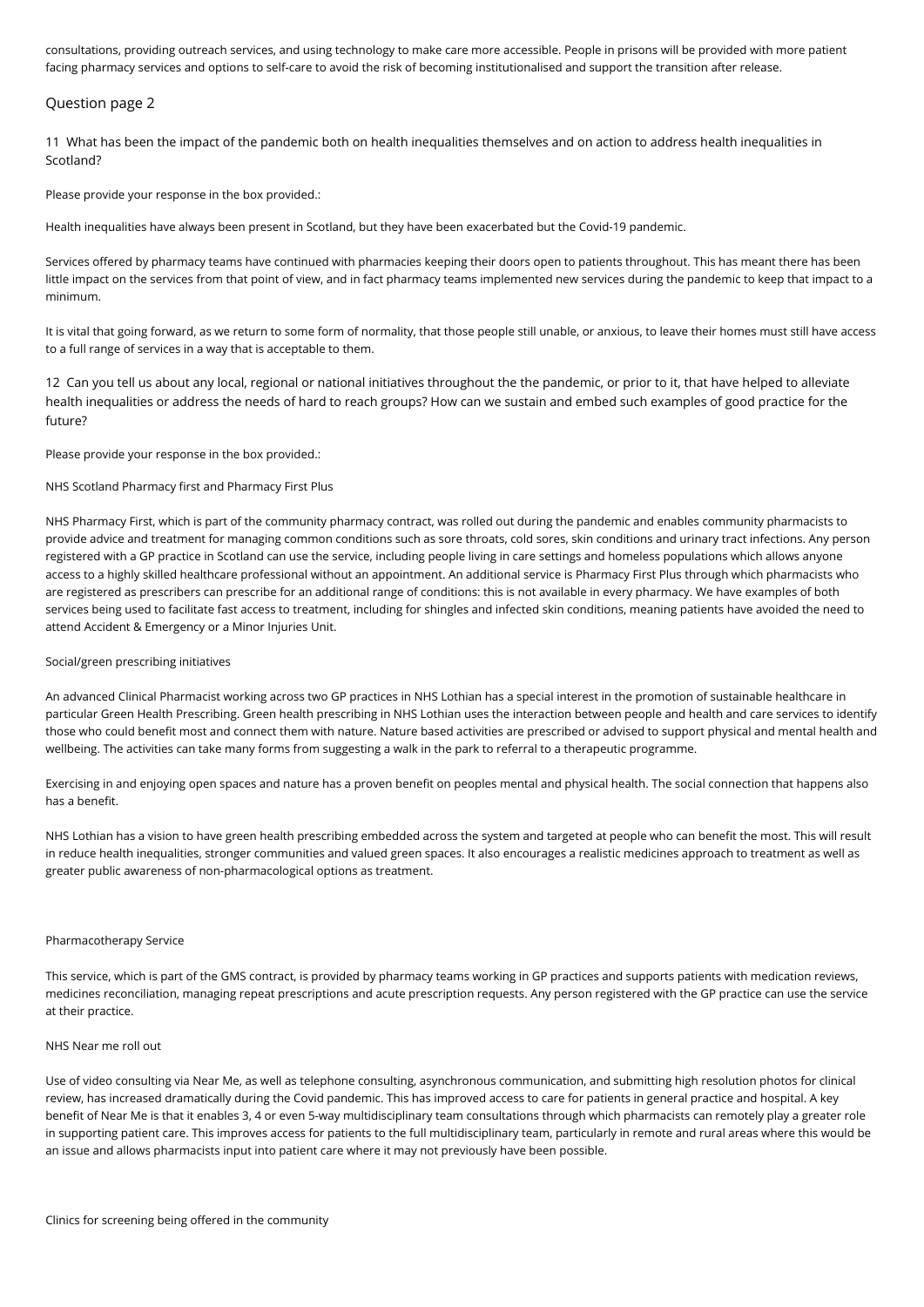consultations, providing outreach services, and using technology to make care more accessible. People in prisons will be provided with more patient facing pharmacy services and options to self-care to avoid the risk of becoming institutionalised and support the transition after release.

# Question page 2

11 What has been the impact of the pandemic both on health inequalities themselves and on action to address health inequalities in Scotland?

Please provide your response in the box provided.:

Health inequalities have always been present in Scotland, but they have been exacerbated but the Covid-19 pandemic.

Services offered by pharmacy teams have continued with pharmacies keeping their doors open to patients throughout. This has meant there has been little impact on the services from that point of view, and in fact pharmacy teams implemented new services during the pandemic to keep that impact to a minimum.

It is vital that going forward, as we return to some form of normality, that those people still unable, or anxious, to leave their homes must still have access to a full range of services in a way that is acceptable to them.

12 Can you tell us about any local, regional or national initiatives throughout the the pandemic, or prior to it, that have helped to alleviate health inequalities or address the needs of hard to reach groups? How can we sustain and embed such examples of good practice for the future?

Please provide your response in the box provided.:

### NHS Scotland Pharmacy first and Pharmacy First Plus

NHS Pharmacy First, which is part of the community pharmacy contract, was rolled out during the pandemic and enables community pharmacists to provide advice and treatment for managing common conditions such as sore throats, cold sores, skin conditions and urinary tract infections. Any person registered with a GP practice in Scotland can use the service, including people living in care settings and homeless populations which allows anyone access to a highly skilled healthcare professional without an appointment. An additional service is Pharmacy First Plus through which pharmacists who are registered as prescribers can prescribe for an additional range of conditions: this is not available in every pharmacy. We have examples of both services being used to facilitate fast access to treatment, including for shingles and infected skin conditions, meaning patients have avoided the need to attend Accident & Emergency or a Minor Injuries Unit.

#### Social/green prescribing initiatives

An advanced Clinical Pharmacist working across two GP practices in NHS Lothian has a special interest in the promotion of sustainable healthcare in particular Green Health Prescribing. Green health prescribing in NHS Lothian uses the interaction between people and health and care services to identify those who could benefit most and connect them with nature. Nature based activities are prescribed or advised to support physical and mental health and wellbeing. The activities can take many forms from suggesting a walk in the park to referral to a therapeutic programme.

Exercising in and enjoying open spaces and nature has a proven benefit on peoples mental and physical health. The social connection that happens also has a benefit.

NHS Lothian has a vision to have green health prescribing embedded across the system and targeted at people who can benefit the most. This will result in reduce health inequalities, stronger communities and valued green spaces. It also encourages a realistic medicines approach to treatment as well as greater public awareness of non-pharmacological options as treatment.

#### Pharmacotherapy Service

This service, which is part of the GMS contract, is provided by pharmacy teams working in GP practices and supports patients with medication reviews, medicines reconciliation, managing repeat prescriptions and acute prescription requests. Any person registered with the GP practice can use the service at their practice.

# NHS Near me roll out

Use of video consulting via Near Me, as well as telephone consulting, asynchronous communication, and submitting high resolution photos for clinical review, has increased dramatically during the Covid pandemic. This has improved access to care for patients in general practice and hospital. A key benefit of Near Me is that it enables 3, 4 or even 5-way multidisciplinary team consultations through which pharmacists can remotely play a greater role in supporting patient care. This improves access for patients to the full multidisciplinary team, particularly in remote and rural areas where this would be an issue and allows pharmacists input into patient care where it may not previously have been possible.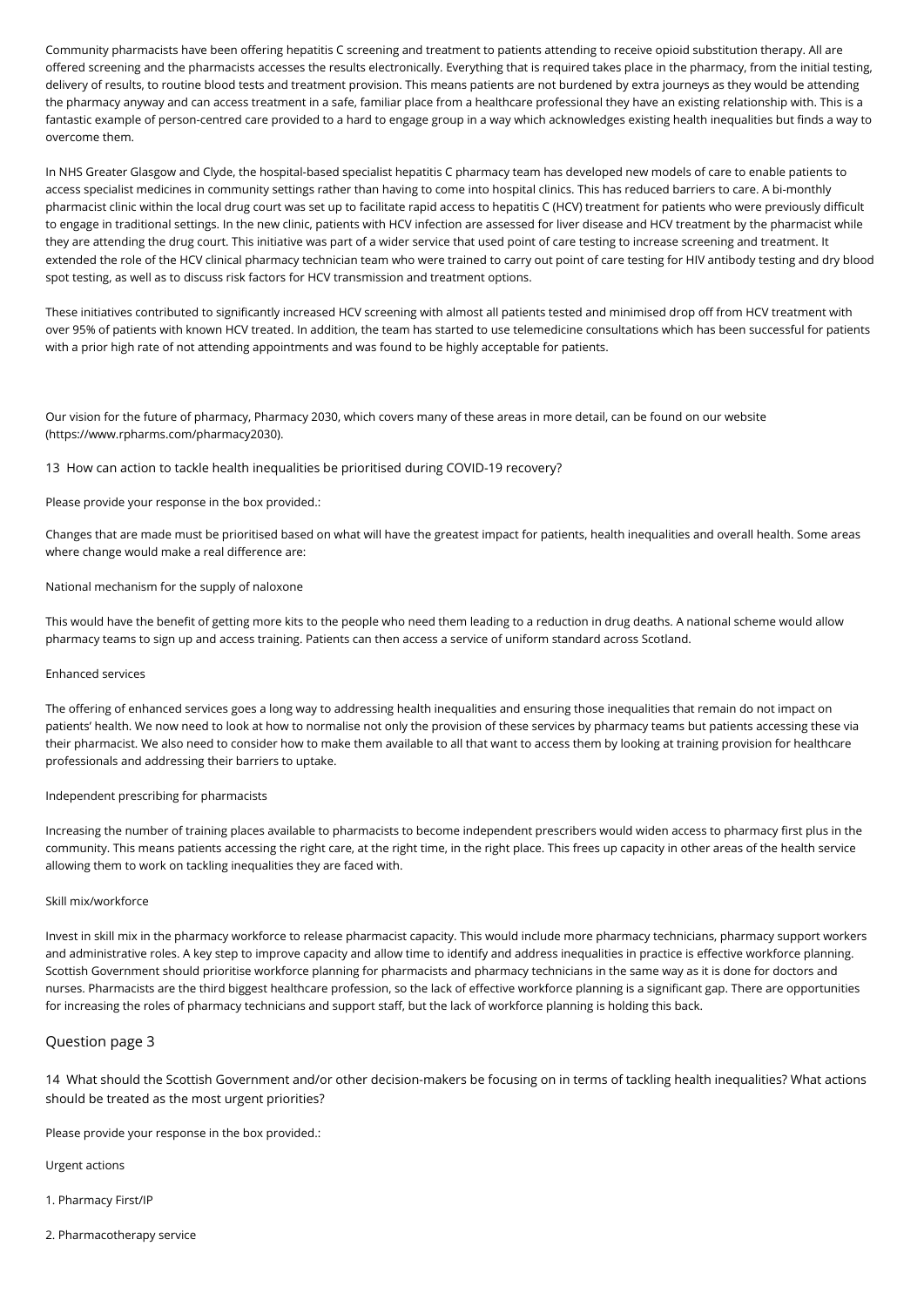Community pharmacists have been offering hepatitis C screening and treatment to patients attending to receive opioid substitution therapy. All are offered screening and the pharmacists accesses the results electronically. Everything that is required takes place in the pharmacy, from the initial testing, delivery of results, to routine blood tests and treatment provision. This means patients are not burdened by extra journeys as they would be attending the pharmacy anyway and can access treatment in a safe, familiar place from a healthcare professional they have an existing relationship with. This is a fantastic example of person-centred care provided to a hard to engage group in a way which acknowledges existing health inequalities but finds a way to overcome them.

In NHS Greater Glasgow and Clyde, the hospital-based specialist hepatitis C pharmacy team has developed new models of care to enable patients to access specialist medicines in community settings rather than having to come into hospital clinics. This has reduced barriers to care. A bi-monthly pharmacist clinic within the local drug court was set up to facilitate rapid access to hepatitis C (HCV) treatment for patients who were previously difficult to engage in traditional settings. In the new clinic, patients with HCV infection are assessed for liver disease and HCV treatment by the pharmacist while they are attending the drug court. This initiative was part of a wider service that used point of care testing to increase screening and treatment. It extended the role of the HCV clinical pharmacy technician team who were trained to carry out point of care testing for HIV antibody testing and dry blood spot testing, as well as to discuss risk factors for HCV transmission and treatment options.

These initiatives contributed to significantly increased HCV screening with almost all patients tested and minimised drop off from HCV treatment with over 95% of patients with known HCV treated. In addition, the team has started to use telemedicine consultations which has been successful for patients with a prior high rate of not attending appointments and was found to be highly acceptable for patients.

Our vision for the future of pharmacy, Pharmacy 2030, which covers many of these areas in more detail, can be found on our website (https://www.rpharms.com/pharmacy2030).

13 How can action to tackle health inequalities be prioritised during COVID-19 recovery?

# Please provide your response in the box provided.:

Changes that are made must be prioritised based on what will have the greatest impact for patients, health inequalities and overall health. Some areas where change would make a real difference are:

### National mechanism for the supply of naloxone

This would have the benefit of getting more kits to the people who need them leading to a reduction in drug deaths. A national scheme would allow pharmacy teams to sign up and access training. Patients can then access a service of uniform standard across Scotland.

#### Enhanced services

The offering of enhanced services goes a long way to addressing health inequalities and ensuring those inequalities that remain do not impact on patients' health. We now need to look at how to normalise not only the provision of these services by pharmacy teams but patients accessing these via their pharmacist. We also need to consider how to make them available to all that want to access them by looking at training provision for healthcare professionals and addressing their barriers to uptake.

### Independent prescribing for pharmacists

Increasing the number of training places available to pharmacists to become independent prescribers would widen access to pharmacy first plus in the community. This means patients accessing the right care, at the right time, in the right place. This frees up capacity in other areas of the health service allowing them to work on tackling inequalities they are faced with.

#### Skill mix/workforce

Invest in skill mix in the pharmacy workforce to release pharmacist capacity. This would include more pharmacy technicians, pharmacy support workers and administrative roles. A key step to improve capacity and allow time to identify and address inequalities in practice is effective workforce planning. Scottish Government should prioritise workforce planning for pharmacists and pharmacy technicians in the same way as it is done for doctors and nurses. Pharmacists are the third biggest healthcare profession, so the lack of effective workforce planning is a significant gap. There are opportunities for increasing the roles of pharmacy technicians and support staff, but the lack of workforce planning is holding this back.

# Question page 3

14 What should the Scottish Government and/or other decision-makers be focusing on in terms of tackling health inequalities? What actions should be treated as the most urgent priorities?

Please provide your response in the box provided.:

Urgent actions

- 1. Pharmacy First/IP
- 2. Pharmacotherapy service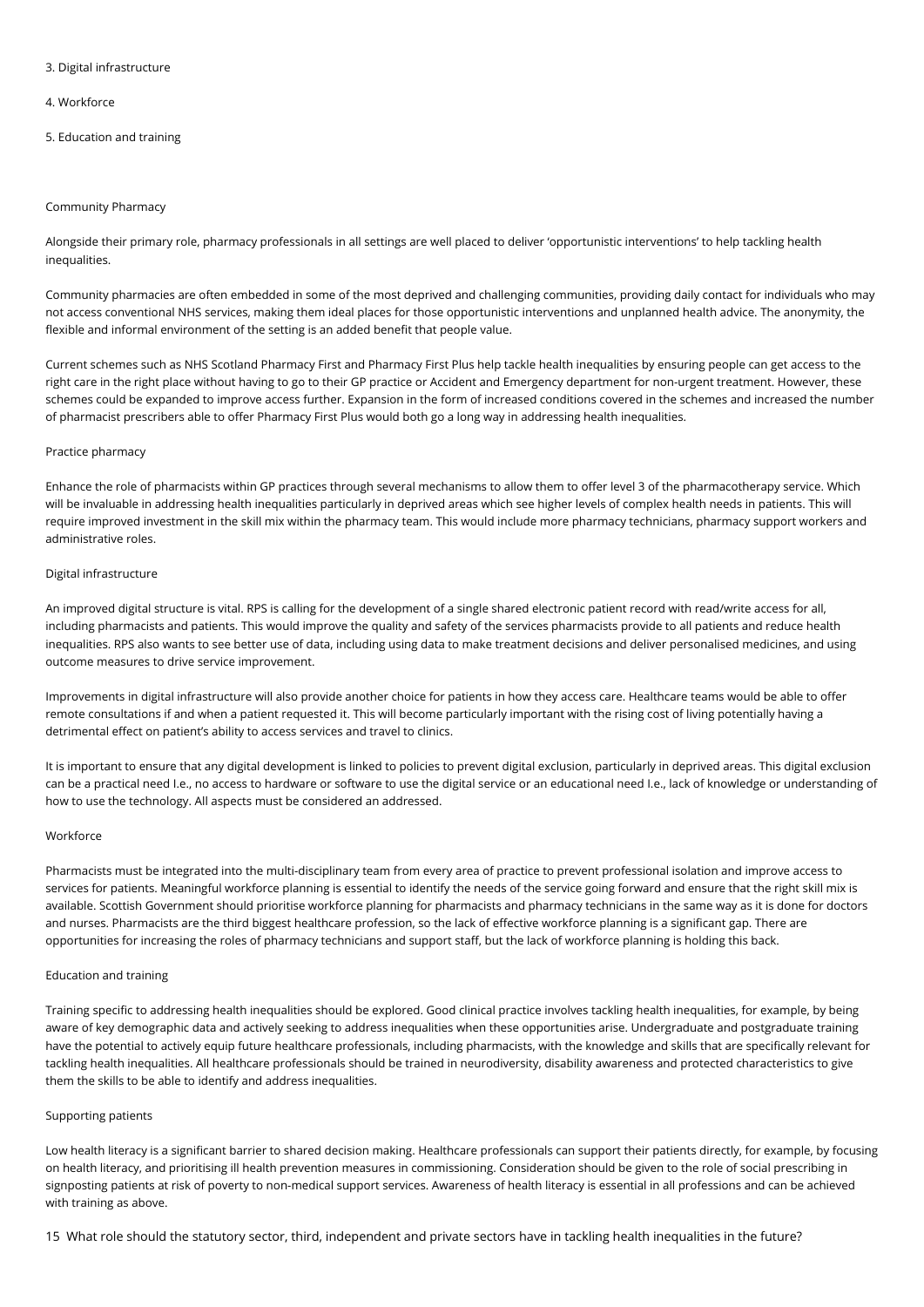### 3. Digital infrastructure

### 4. Workforce

5. Education and training

### Community Pharmacy

Alongside their primary role, pharmacy professionals in all settings are well placed to deliver 'opportunistic interventions' to help tackling health inequalities.

Community pharmacies are often embedded in some of the most deprived and challenging communities, providing daily contact for individuals who may not access conventional NHS services, making them ideal places for those opportunistic interventions and unplanned health advice. The anonymity, the flexible and informal environment of the setting is an added benefit that people value.

Current schemes such as NHS Scotland Pharmacy First and Pharmacy First Plus help tackle health inequalities by ensuring people can get access to the right care in the right place without having to go to their GP practice or Accident and Emergency department for non-urgent treatment. However, these schemes could be expanded to improve access further. Expansion in the form of increased conditions covered in the schemes and increased the number of pharmacist prescribers able to offer Pharmacy First Plus would both go a long way in addressing health inequalities.

### Practice pharmacy

Enhance the role of pharmacists within GP practices through several mechanisms to allow them to offer level 3 of the pharmacotherapy service. Which will be invaluable in addressing health inequalities particularly in deprived areas which see higher levels of complex health needs in patients. This will require improved investment in the skill mix within the pharmacy team. This would include more pharmacy technicians, pharmacy support workers and administrative roles.

### Digital infrastructure

An improved digital structure is vital. RPS is calling for the development of a single shared electronic patient record with read/write access for all, including pharmacists and patients. This would improve the quality and safety of the services pharmacists provide to all patients and reduce health inequalities. RPS also wants to see better use of data, including using data to make treatment decisions and deliver personalised medicines, and using outcome measures to drive service improvement.

Improvements in digital infrastructure will also provide another choice for patients in how they access care. Healthcare teams would be able to offer remote consultations if and when a patient requested it. This will become particularly important with the rising cost of living potentially having a detrimental effect on patient's ability to access services and travel to clinics.

It is important to ensure that any digital development is linked to policies to prevent digital exclusion, particularly in deprived areas. This digital exclusion can be a practical need I.e., no access to hardware or software to use the digital service or an educational need I.e., lack of knowledge or understanding of how to use the technology. All aspects must be considered an addressed.

#### Workforce

Pharmacists must be integrated into the multi-disciplinary team from every area of practice to prevent professional isolation and improve access to services for patients. Meaningful workforce planning is essential to identify the needs of the service going forward and ensure that the right skill mix is available. Scottish Government should prioritise workforce planning for pharmacists and pharmacy technicians in the same way as it is done for doctors and nurses. Pharmacists are the third biggest healthcare profession, so the lack of effective workforce planning is a significant gap. There are opportunities for increasing the roles of pharmacy technicians and support staff, but the lack of workforce planning is holding this back.

# Education and training

Training specific to addressing health inequalities should be explored. Good clinical practice involves tackling health inequalities, for example, by being aware of key demographic data and actively seeking to address inequalities when these opportunities arise. Undergraduate and postgraduate training have the potential to actively equip future healthcare professionals, including pharmacists, with the knowledge and skills that are specifically relevant for tackling health inequalities. All healthcare professionals should be trained in neurodiversity, disability awareness and protected characteristics to give them the skills to be able to identify and address inequalities.

#### Supporting patients

Low health literacy is a significant barrier to shared decision making. Healthcare professionals can support their patients directly, for example, by focusing on health literacy, and prioritising ill health prevention measures in commissioning. Consideration should be given to the role of social prescribing in signposting patients at risk of poverty to non-medical support services. Awareness of health literacy is essential in all professions and can be achieved with training as above.

15 What role should the statutory sector, third, independent and private sectors have in tackling health inequalities in the future?